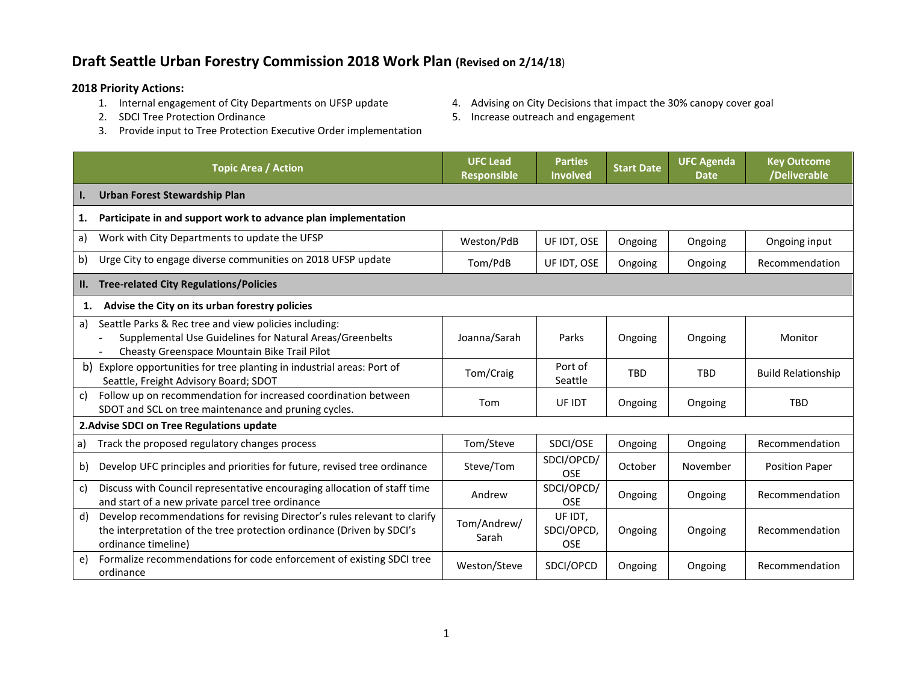## **Draft Seattle Urban Forestry Commission 2018 Work Plan (Revised on 2/14/18**)

## **2018 Priority Actions:**

- 1. Internal engagement of City Departments on UFSP update 4. Advising on City Decisions that impact the 30% canopy cover goal
- 2. SDCI Tree Protection Ordinance
- 5. Increase outreach and engagement
- 3. Provide input to Tree Protection Executive Order implementation

|                                           | <b>Topic Area / Action</b>                                                                                                                                                | <b>UFC Lead</b><br><b>Responsible</b> | <b>Parties</b><br>Involved          | <b>Start Date</b> | <b>UFC Agenda</b><br><b>Date</b> | <b>Key Outcome</b><br>/Deliverable |
|-------------------------------------------|---------------------------------------------------------------------------------------------------------------------------------------------------------------------------|---------------------------------------|-------------------------------------|-------------------|----------------------------------|------------------------------------|
| I.                                        | Urban Forest Stewardship Plan                                                                                                                                             |                                       |                                     |                   |                                  |                                    |
| 1.                                        | Participate in and support work to advance plan implementation                                                                                                            |                                       |                                     |                   |                                  |                                    |
| a)                                        | Work with City Departments to update the UFSP                                                                                                                             | Weston/PdB                            | UF IDT, OSE                         | Ongoing           | Ongoing                          | Ongoing input                      |
| b)                                        | Urge City to engage diverse communities on 2018 UFSP update                                                                                                               | Tom/PdB                               | UF IDT, OSE                         | Ongoing           | Ongoing                          | Recommendation                     |
| II.                                       | <b>Tree-related City Regulations/Policies</b>                                                                                                                             |                                       |                                     |                   |                                  |                                    |
| 1.                                        | Advise the City on its urban forestry policies                                                                                                                            |                                       |                                     |                   |                                  |                                    |
| a)                                        | Seattle Parks & Rec tree and view policies including:<br>Supplemental Use Guidelines for Natural Areas/Greenbelts<br>Cheasty Greenspace Mountain Bike Trail Pilot         | Joanna/Sarah                          | Parks                               | Ongoing           | Ongoing                          | Monitor                            |
| b)                                        | Explore opportunities for tree planting in industrial areas: Port of<br>Seattle, Freight Advisory Board; SDOT                                                             | Tom/Craig                             | Port of<br>Seattle                  | <b>TBD</b>        | <b>TRD</b>                       | <b>Build Relationship</b>          |
| c)                                        | Follow up on recommendation for increased coordination between<br>SDOT and SCL on tree maintenance and pruning cycles.                                                    | Tom                                   | UF IDT                              | Ongoing           | Ongoing                          | <b>TBD</b>                         |
| 2. Advise SDCI on Tree Regulations update |                                                                                                                                                                           |                                       |                                     |                   |                                  |                                    |
| a)                                        | Track the proposed regulatory changes process                                                                                                                             | Tom/Steve                             | SDCI/OSE                            | Ongoing           | Ongoing                          | Recommendation                     |
| b)                                        | Develop UFC principles and priorities for future, revised tree ordinance                                                                                                  | Steve/Tom                             | SDCI/OPCD/<br><b>OSE</b>            | October           | November                         | <b>Position Paper</b>              |
| c)                                        | Discuss with Council representative encouraging allocation of staff time<br>and start of a new private parcel tree ordinance                                              | Andrew                                | SDCI/OPCD/<br><b>OSE</b>            | Ongoing           | Ongoing                          | Recommendation                     |
| d)                                        | Develop recommendations for revising Director's rules relevant to clarify<br>the interpretation of the tree protection ordinance (Driven by SDCI's<br>ordinance timeline) | Tom/Andrew/<br>Sarah                  | UF IDT,<br>SDCI/OPCD,<br><b>OSE</b> | Ongoing           | Ongoing                          | Recommendation                     |
| e)                                        | Formalize recommendations for code enforcement of existing SDCI tree<br>ordinance                                                                                         | Weston/Steve                          | SDCI/OPCD                           | Ongoing           | Ongoing                          | Recommendation                     |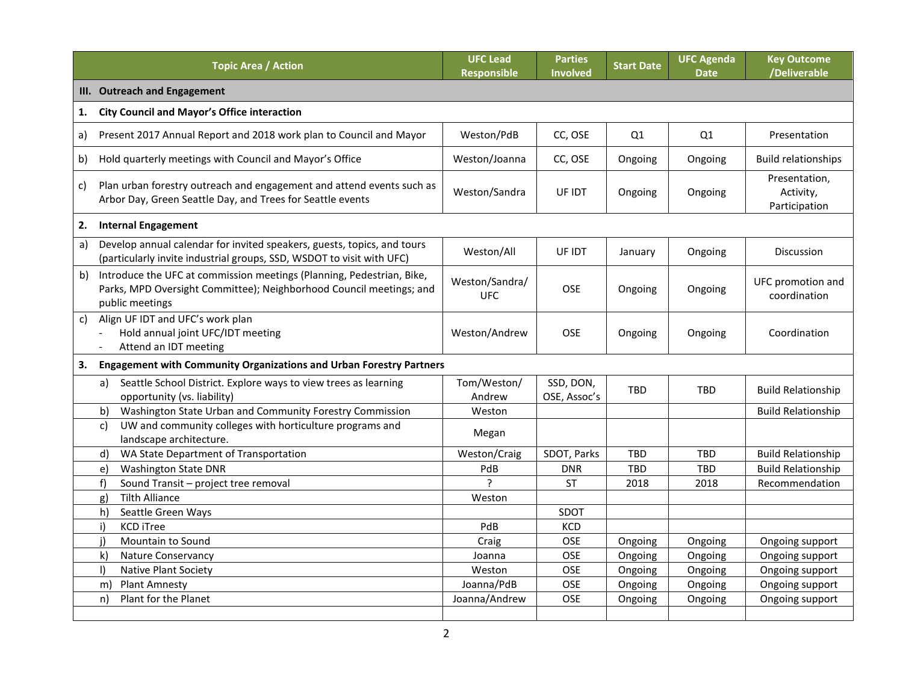|              | <b>Topic Area / Action</b>                                                                                                                                      | <b>UFC Lead</b><br><b>Responsible</b> | <b>Parties</b><br><b>Involved</b> | <b>Start Date</b> | <b>UFC Agenda</b><br><b>Date</b> | <b>Key Outcome</b><br>/Deliverable          |
|--------------|-----------------------------------------------------------------------------------------------------------------------------------------------------------------|---------------------------------------|-----------------------------------|-------------------|----------------------------------|---------------------------------------------|
|              | III. Outreach and Engagement                                                                                                                                    |                                       |                                   |                   |                                  |                                             |
| 1.           | <b>City Council and Mayor's Office interaction</b>                                                                                                              |                                       |                                   |                   |                                  |                                             |
| a)           | Present 2017 Annual Report and 2018 work plan to Council and Mayor                                                                                              | Weston/PdB                            | CC, OSE                           | Q1                | Q1                               | Presentation                                |
| b)           | Hold quarterly meetings with Council and Mayor's Office                                                                                                         | Weston/Joanna                         | CC, OSE                           | Ongoing           | Ongoing                          | <b>Build relationships</b>                  |
| C)           | Plan urban forestry outreach and engagement and attend events such as<br>Arbor Day, Green Seattle Day, and Trees for Seattle events                             | Weston/Sandra                         | UF IDT                            | Ongoing           | Ongoing                          | Presentation,<br>Activity,<br>Participation |
| 2.           | <b>Internal Engagement</b>                                                                                                                                      |                                       |                                   |                   |                                  |                                             |
| a)           | Develop annual calendar for invited speakers, guests, topics, and tours<br>(particularly invite industrial groups, SSD, WSDOT to visit with UFC)                | Weston/All                            | UF IDT                            | January           | Ongoing                          | <b>Discussion</b>                           |
| b)           | Introduce the UFC at commission meetings (Planning, Pedestrian, Bike,<br>Parks, MPD Oversight Committee); Neighborhood Council meetings; and<br>public meetings | Weston/Sandra/<br><b>UFC</b>          | <b>OSE</b>                        | Ongoing           | Ongoing                          | UFC promotion and<br>coordination           |
| $\mathsf{C}$ | Align UF IDT and UFC's work plan<br>Hold annual joint UFC/IDT meeting<br>Attend an IDT meeting                                                                  | Weston/Andrew                         | <b>OSE</b>                        | Ongoing           | Ongoing                          | Coordination                                |
|              | 3. Engagement with Community Organizations and Urban Forestry Partners                                                                                          |                                       |                                   |                   |                                  |                                             |
|              | Seattle School District. Explore ways to view trees as learning<br>a)<br>opportunity (vs. liability)                                                            | Tom/Weston/<br>Andrew                 | SSD, DON,<br>OSE, Assoc's         | <b>TRD</b>        | <b>TBD</b>                       | <b>Build Relationship</b>                   |
|              | Washington State Urban and Community Forestry Commission<br>b)                                                                                                  | Weston                                |                                   |                   |                                  | <b>Build Relationship</b>                   |
|              | UW and community colleges with horticulture programs and<br>c)<br>landscape architecture.                                                                       | Megan                                 |                                   |                   |                                  |                                             |
|              | WA State Department of Transportation<br>d)                                                                                                                     | Weston/Craig                          | SDOT, Parks                       | <b>TBD</b>        | <b>TBD</b>                       | <b>Build Relationship</b>                   |
|              | <b>Washington State DNR</b><br>e)                                                                                                                               | PdB                                   | <b>DNR</b>                        | <b>TBD</b>        | <b>TBD</b>                       | <b>Build Relationship</b>                   |
|              | f)<br>Sound Transit - project tree removal                                                                                                                      | ς                                     | <b>ST</b>                         | 2018              | 2018                             | Recommendation                              |
|              | <b>Tilth Alliance</b><br>g)                                                                                                                                     | Weston                                |                                   |                   |                                  |                                             |
|              | Seattle Green Ways<br>h)                                                                                                                                        |                                       | SDOT                              |                   |                                  |                                             |
|              | <b>KCD iTree</b><br>i)                                                                                                                                          | PdB                                   | KCD                               |                   |                                  |                                             |
|              | Mountain to Sound<br>i)                                                                                                                                         | Craig                                 | <b>OSE</b>                        | Ongoing           | Ongoing                          | Ongoing support                             |
|              | k)<br>Nature Conservancy                                                                                                                                        | Joanna                                | OSE                               | Ongoing           | Ongoing                          | Ongoing support                             |
|              | Native Plant Society<br>$\vert$                                                                                                                                 | Weston                                | OSE                               | Ongoing           | Ongoing                          | Ongoing support                             |
|              | <b>Plant Amnesty</b><br>m)                                                                                                                                      | Joanna/PdB                            | OSE                               | Ongoing           | Ongoing                          | Ongoing support                             |
|              | Plant for the Planet<br>n)                                                                                                                                      | Joanna/Andrew                         | OSE                               | Ongoing           | Ongoing                          | Ongoing support                             |
|              |                                                                                                                                                                 |                                       |                                   |                   |                                  |                                             |